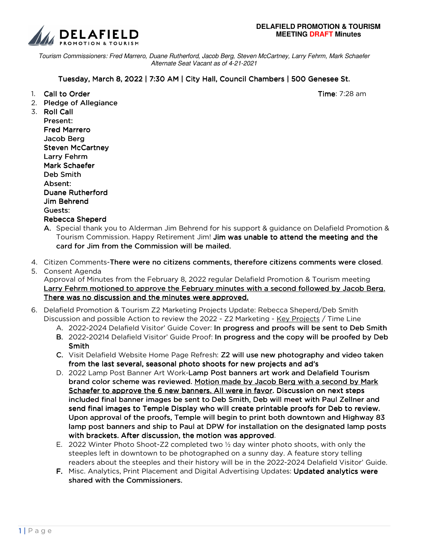

Tourism Commissioners: Fred Marrero, Duane Rutherford, Jacob Berg, Steven McCartney, Larry Fehrm, Mark Schaefer Alternate Seat Vacant as of 4-21-2021

## Tuesday, March 8, 2022 | 7:30 AM | City Hall, Council Chambers | 500 Genesee St.

- 1. Call to Order Time: 7:28 am
- 2. Pledge of Allegiance

- 3. Roll Call Present: **Fred Marrero** Jacob Berg Steven McCartney Larry Fehrm Mark Schaefer Deb Smith Absent: Duane Rutherford Jim Behrend Guests: Guests: Rebecca Sheperd
	- A. Special thank you to Alderman Jim Behrend for his support & guidance on Delafield Promotion & Tourism Commission. Happy Retirement Jim! Jim was unable to attend the meeting and the card for Jim from the Commission will be mailed.
- 4. Citizen Comments-There were no citizens comments, therefore citizens comments were closed.
- 5. Consent Agenda

Approval of Minutes from the February 8, 2022 regular Delafield Promotion & Tourism meeting Larry Fehrm motioned to approve the February minutes with a second followed by Jacob Berg. There was no discussion and the minutes were approved.

## 6. Delafield Promotion & Tourism Z2 Marketing Projects Update: Rebecca Sheperd/Deb Smith Discussion and possible Action to review the 2022 - Z2 Marketing - Key Projects / Time Line

- A. 2022-2024 Delafield Visitor' Guide Cover: In progress and proofs will be sent to Deb Smith
- B. 2022-20214 Delafield Visitor' Guide Proof: In progress and the copy will be proofed by Deb Smith
- C. Visit Delafield Website Home Page Refresh: Z2 will use new photography and video taken from the last several, seasonal photo shoots for new projects and ad's
- D. 2022 Lamp Post Banner Art Work-Lamp Post banners art work and Delafield Tourism brand color scheme was reviewed. Motion made by Jacob Berg with a second by Mark Schaefer to approve the 6 new banners. All were in favor. Discussion on next steps included final banner images be sent to Deb Smith, Deb will meet with Paul Zellner and send final images to Temple Display who will create printable proofs for Deb to review. Upon approval of the proofs, Temple will begin to print both downtown and Highway 83 lamp post banners and ship to Paul at DPW for installation on the designated lamp posts with brackets. After discussion, the motion was approved.
- E. 2022 Winter Photo Shoot-Z2 completed two  $\frac{1}{2}$  day winter photo shoots, with only the steeples left in downtown to be photographed on a sunny day. A feature story telling readers about the steeples and their history will be in the 2022-2024 Delafield Visitor' Guide.
- F. Misc. Analytics, Print Placement and Digital Advertising Updates: Updated analytics were shared with the Commissioners.